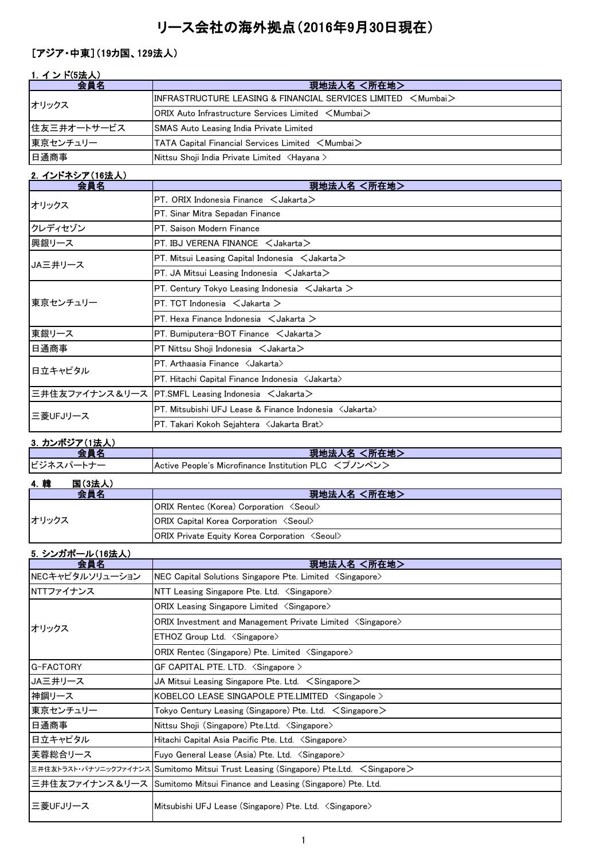# リース会社の海外拠点(2016年9月30日現在)

# [アジア・中東](19カ国、129法人)

| 1. インド(5法人) |                                                                               |
|-------------|-------------------------------------------------------------------------------|
| 会員名         | 現地法人名 <所在地>                                                                   |
| オリックス       | $\,$ IINFRASTRUCTURE LEASING & FINANCIAL SERVICES LIMITED $\,$ $<$ Mumbai $>$ |
|             | $ ORIX$ Auto Infrastructure Services Limited $\leq$ Mumbai $\geq$             |
| 住友三井オートサービス | <b>SMAS Auto Leasing India Private Limited</b>                                |
| 東京センチュリー    | TATA Capital Financial Services Limited $\, <$ Mumbai $>$                     |
| 日通商事        | Nittsu Shoji India Private Limited <hayana></hayana>                          |

| 会員名      | 現地法人名 <所在地>                                                      |
|----------|------------------------------------------------------------------|
| オリックス    | PT. ORIX Indonesia Finance $\leq$ Jakarta $\geq$                 |
|          | PT. Sinar Mitra Sepadan Finance                                  |
| クレディセゾン  | PT. Saison Modern Finance                                        |
| 興銀リース    | PT. IBJ VERENA FINANCE $\lt$ Jakarta $>$                         |
| JA三井リース  | PT. Mitsui Leasing Capital Indonesia $\leq$ Jakarta $\geq$       |
|          | PT. JA Mitsui Leasing Indonesia $\lt$ Jakarta $\gt$              |
|          | PT. Century Tokyo Leasing Indonesia $\lt$ Jakarta $\gt$          |
| 東京センチュリー | PT. TCT Indonesia $\lt$ Jakarta $\gt$                            |
|          | PT. Hexa Finance Indonesia $\leq$ Jakarta $\geq$                 |
| 東銀リース    | PT. Bumiputera-BOT Finance $\lt$ Jakarta $>$                     |
| 日通商事     | $PT$ Nittsu Shoji Indonesia $\lt$ Jakarta $\gt$                  |
| 日立キャピタル  | PT. Arthaasia Finance < Jakarta>                                 |
|          | PT. Hitachi Capital Finance Indonesia <jakarta></jakarta>        |
|          | 三井住友ファイナンス&リース  PT.SMFL Leasing Indonesia <jakarta></jakarta>    |
|          | PT. Mitsubishi UFJ Lease & Finance Indonesia <jakarta></jakarta> |
| 三菱UFJリース | PT. Takari Kokoh Sejahtera ∠Jakarta Brat>                        |

### 3.カンボジア(1法人)

|           | ----------------- |                                                        |  |
|-----------|-------------------|--------------------------------------------------------|--|
| 会員名       |                   | ▍現地法人名 <所在地>                                           |  |
| ビジネスパートナー |                   | Active People's Microfinance Institution PLC <プノンペン>   |  |
| 4. 韓      | 国(3法人)            |                                                        |  |
|           | 会員名               | 現地法人名 <所在地>                                            |  |
|           |                   | <b>ORIX Rentec (Korea) Corporation <seoul></seoul></b> |  |

|  | <b>ORIX Rentec (Korea) Corporation <seoul></seoul></b> |                                                              |
|--|--------------------------------------------------------|--------------------------------------------------------------|
|  | オリックス                                                  | <b>ORIX Capital Korea Corporation <seoul></seoul></b>        |
|  |                                                        | <b>ORIX Private Equity Korea Corporation <seoul></seoul></b> |

| 5. シンガポール(16法人)                                                           |                                                                                       |  |
|---------------------------------------------------------------------------|---------------------------------------------------------------------------------------|--|
| 会員名                                                                       | 現地法人名 <所在地>                                                                           |  |
| NECキャピタルソリューション                                                           | NEC Capital Solutions Singapore Pte. Limited <singapore></singapore>                  |  |
| NTTファイナンス                                                                 | NTT Leasing Singapore Pte. Ltd. < Singapore>                                          |  |
|                                                                           | ORIX Leasing Singapore Limited <singapore></singapore>                                |  |
| オリックス                                                                     | ORIX Investment and Management Private Limited <singapore></singapore>                |  |
|                                                                           | ETHOZ Group Ltd. <singapore></singapore>                                              |  |
|                                                                           | ORIX Rentec (Singapore) Pte. Limited <singapore></singapore>                          |  |
| G-FACTORY                                                                 | GF CAPITAL PTE. LTD. $\langle$ Singapore $\rangle$                                    |  |
| JA三井リース                                                                   | JA Mitsui Leasing Singapore Pte. Ltd. $\leq$ Singapore $\geq$                         |  |
| 神鋼リース                                                                     | KOBELCO LEASE SINGAPOLE PTE.LIMITED <singapole></singapole>                           |  |
| 東京センチュリー                                                                  | Tokyo Century Leasing (Singapore) Pte. Ltd. < Singapore>                              |  |
| 日通商事<br>Nittsu Shoji (Singapore) Pte.Ltd. < Singapore>                    |                                                                                       |  |
| 日立キャピタル<br>Hitachi Capital Asia Pacific Pte. Ltd. <singapore></singapore> |                                                                                       |  |
| 芙蓉総合リース                                                                   | Fuyo General Lease (Asia) Pte. Ltd. <singapore></singapore>                           |  |
|                                                                           | 三井住友トラスト・パナソニックファイナンス Sumitomo Mitsui Trust Leasing (Singapore) Pte.Ltd. < Singapore> |  |
|                                                                           | 三井住友ファイナンス&リース  Sumitomo Mitsui Finance and Leasing (Singapore) Pte. Ltd.             |  |
| 三菱UFJリース                                                                  | Mitsubishi UFJ Lease (Singapore) Pte. Ltd. <singapore></singapore>                    |  |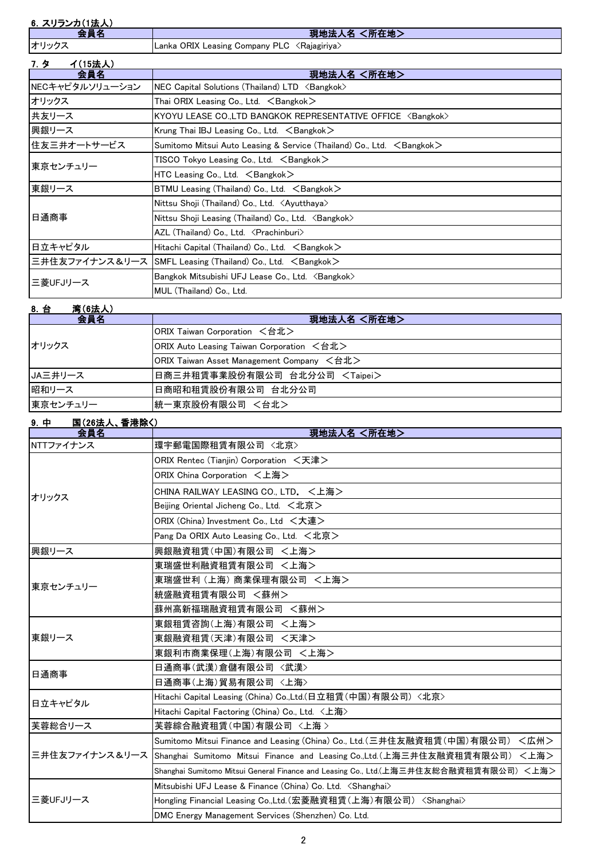|  |  |  |  | 6. スリランカ(1法人) |
|--|--|--|--|---------------|
|--|--|--|--|---------------|

| 会員名                                                                   | 現地法人名 <所在地>                                                                       |  |
|-----------------------------------------------------------------------|-----------------------------------------------------------------------------------|--|
| オリックス                                                                 | Lanka ORIX Leasing Company PLC 〈Rajagiriya〉                                       |  |
| イ(15法人)<br>7. タ                                                       |                                                                                   |  |
| 会員名                                                                   | 現地法人名 <所在地>                                                                       |  |
| NECキャピタルソリューション                                                       | NEC Capital Solutions (Thailand) LTD <bangkok></bangkok>                          |  |
| オリックス                                                                 | Thai ORIX Leasing Co., Ltd. $\leq$ Bangkok $>$                                    |  |
| 共友リース                                                                 | KYOYU LEASE CO.,LTD BANGKOK REPRESENTATIVE OFFICE <bangkok></bangkok>             |  |
| 興銀リース                                                                 | Krung Thai IBJ Leasing Co., Ltd. $\leq$ Bangkok $\geq$                            |  |
| 住友三井オートサービス                                                           | Sumitomo Mitsui Auto Leasing & Service (Thailand) Co., Ltd. $\leq$ Bangkok $\geq$ |  |
| 東京センチュリー                                                              | <code>TISCO</code> Tokyo Leasing Co., Ltd. $\, <$ Bangkok $>$                     |  |
|                                                                       | HTC Leasing Co., Ltd. $\leq$ Bangkok $>$                                          |  |
| 東銀リース                                                                 | $BTMU$ Leasing (Thailand) Co., Ltd. $\leq$ Bangkok $\geq$                         |  |
|                                                                       | Nittsu Shoji (Thailand) Co., Ltd. <ayutthaya></ayutthaya>                         |  |
| 日通商事                                                                  | Nittsu Shoji Leasing (Thailand) Co., Ltd. <bangkok></bangkok>                     |  |
|                                                                       | AZL (Thailand) Co., Ltd. < Prachinburi>                                           |  |
| 日立キャピタル<br>Hitachi Capital (Thailand) Co., Ltd. $\leq$ Bangkok $\geq$ |                                                                                   |  |
| 三井住友ファイナンス&リース  SMFL Leasing (Thailand) Co., Ltd. 〈Bangkok〉           |                                                                                   |  |
| 三菱UFJリース                                                              | Bangkok Mitsubishi UFJ Lease Co., Ltd. <bangkok></bangkok>                        |  |
|                                                                       | MUL (Thailand) Co., Ltd.                                                          |  |

#### 8.台 湾(6法人)

| .<br>会員名 | 現地法人名 <所在地>                               |
|----------|-------------------------------------------|
|          | ORIX Taiwan Corporation <台北>              |
| オリックス    | ORIX Auto Leasing Taiwan Corporation <台北> |
|          | ORIX Taiwan Asset Management Company <台北> |
| JA三井リース  | 日商三井租賃事業股份有限公司 台北分公司 <taipei></taipei>    |
| 昭和リース    | 日商昭和租賃股份有限公司 台北分公司                        |
| 東京センチュリー | 統一東京股份有限公司 <台北>                           |

### 9.中 国(26法人、香港除く)

| <u>ј. т</u> | <b>PULLVAV, ENEMY</b><br>会員名           | 現地法人名 <所在地>                                                                               |
|-------------|----------------------------------------|-------------------------------------------------------------------------------------------|
| NTTファイナンス   |                                        | 環宇郵電国際租賃有限公司 〈北京〉                                                                         |
|             | ORIX Rentec (Tianjin) Corporation <天津> |                                                                                           |
|             |                                        | ORIX China Corporation <上海>                                                               |
| オリックス       |                                        | CHINA RAILWAY LEASING CO., LTD. <上海>                                                      |
|             |                                        | Beijing Oriental Jicheng Co., Ltd. <北京>                                                   |
|             |                                        | ORIX (China) Investment Co., Ltd <大連>                                                     |
|             |                                        | Pang Da ORIX Auto Leasing Co., Ltd. <北京>                                                  |
| 興銀リース       |                                        | 興銀融資租賃(中国)有限公司 <上海>                                                                       |
|             |                                        | 東瑞盛世利融資租賃有限公司 <上海>                                                                        |
| 東京センチュリー    |                                        | 東瑞盛世利 (上海) 商業保理有限公司 <上海>                                                                  |
|             |                                        | 統盛融資租賃有限公司 <蘇州>                                                                           |
|             |                                        | 蘇州高新福瑞融資租賃有限公司 <蘇州>                                                                       |
|             |                                        | 東銀租賃咨詢(上海)有限公司 <上海>                                                                       |
| 東銀リース       |                                        | 東銀融資租賃(天津)有限公司 <天津>                                                                       |
|             |                                        | 東銀利市商業保理(上海)有限公司 <上海>                                                                     |
| 日通商事        |                                        | 日通商事(武漢)倉儲有限公司 〈武漢〉                                                                       |
|             |                                        | 日通商事(上海)貿易有限公司 <上海>                                                                       |
| 日立キャピタル     |                                        | Hitachi Capital Leasing (China) Co.,Ltd.(日立租賃(中国)有限公司)〈北京〉                                |
|             |                                        | Hitachi Capital Factoring (China) Co., Ltd. <上海>                                          |
| 実蓉総合リース     |                                        | 芙蓉綜合融資租賃(中国)有限公司 <上海 >                                                                    |
|             |                                        | Sumitomo Mitsui Finance and Leasing (China) Co., Ltd.(三井住友融資租賃(中国)有限公司)<br><広州>           |
|             |                                        | 三井住友ファイナンス&リース Shanghai Sumitomo Mitsui Finance and Leasing Co.,Ltd.(上海三井住友融資租賃有限公司) <上海> |
|             |                                        | Shanghai Sumitomo Mitsui General Finance and Leasing Co., Ltd.(上海三井住友総合融資租賃有限公司) <上海>     |
|             |                                        | Mitsubishi UFJ Lease & Finance (China) Co. Ltd. <shanghai></shanghai>                     |
| 三菱UFJリース    |                                        | Hongling Financial Leasing Co.,Ltd.(宏菱融資租賃(上海)有限公司) <shanghai></shanghai>                 |
|             |                                        | DMC Energy Management Services (Shenzhen) Co. Ltd.                                        |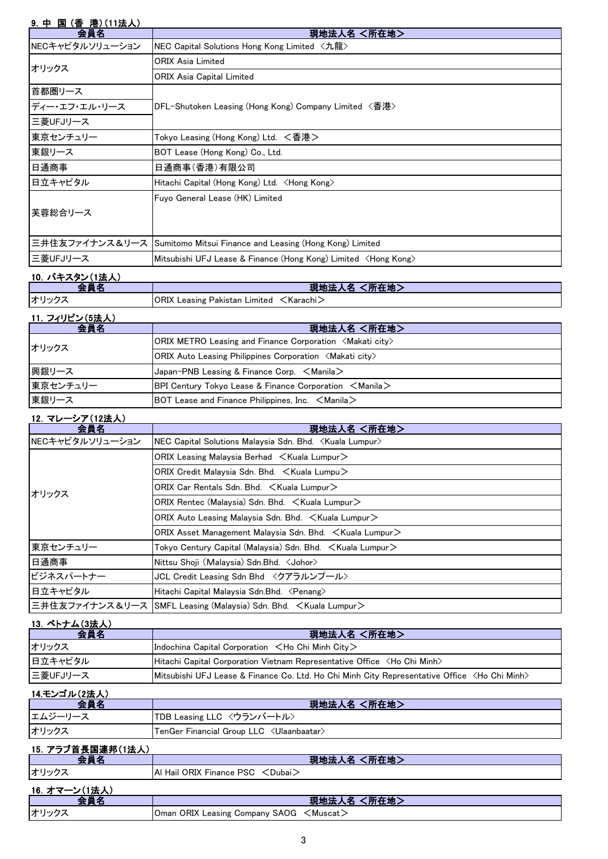# 9. 中 国 (香 港) (11法人)

| 会員名             | 現地法人名 <所在地>                                                              |
|-----------------|--------------------------------------------------------------------------|
| NECキャピタルソリューション | NEC Capital Solutions Hong Kong Limited <九龍>                             |
| オリックス           | ORIX Asia Limited                                                        |
|                 | ORIX Asia Capital Limited                                                |
| 首都圏リース          |                                                                          |
| ディー・エフ・エル・リース   | DFL-Shutoken Leasing (Hong Kong) Company Limited 〈杳港〉                    |
| 三菱UFJリース        |                                                                          |
| 東京センチュリー        | Tokyo Leasing (Hong Kong) Ltd. <香港>                                      |
| 東銀リース           | BOT Lease (Hong Kong) Co., Ltd.                                          |
| 日通商事            | 日通商事(香港)有限公司                                                             |
| 日立キャピタル         | Hitachi Capital (Hong Kong) Ltd.  ≺Hong Kong>                            |
|                 | Fuyo General Lease (HK) Limited                                          |
| 芙蓉総合リース         |                                                                          |
|                 |                                                                          |
|                 | 三井住友ファイナンス&リース Sumitomo Mitsui Finance and Leasing (Hong Kong) Limited   |
| 三菱UFJリース        | Mitsubishi UFJ Lease & Finance (Hong Kong) Limited <hong kong=""></hong> |
|                 |                                                                          |

## 10. パキスタン(1法人)

| 10. パキスタン(1法人) |                                                        |
|----------------|--------------------------------------------------------|
| 会員名            | 現地法人名 <所在地>                                            |
| オリックス          | $ ORIX$ Leasing Pakistan Limited $\leq$ Karachi $\geq$ |
| 11. フィリピン(5法人) |                                                        |

| 会員名      | 現地法人名 <所在地>                                                                                       |
|----------|---------------------------------------------------------------------------------------------------|
| オリックス    | $ ORIX$ METRO Leasing and Finance Corporation $\langle M\$ akati city $\rangle$                   |
|          | $ ORIX$ Auto Leasing Philippines Corporation $\langle M$ akati city $\rangle$                     |
| 興銀リース    | Japan-PNB Leasing & Finance Corp. $\leq$ Manila $\geq$                                            |
| 東京センチュリー | <b>BPI Century Tokyo Lease &amp; Finance Corporation <math>\leq</math>Manila<math>\geq</math></b> |
| 東銀リース    | BOT Lease and Finance Philippines, Inc. $\leq$ Manila $\geq$                                      |

#### 12.マレーシア(12法人)

| 会員名             | 現地法人名 <所在地>                                                              |
|-----------------|--------------------------------------------------------------------------|
| NECキャピタルソリューション | NEC Capital Solutions Malaysia Sdn. Bhd. <kuala lumpur=""></kuala>       |
| オリックス           | $ORIX$ Leasing Malaysia Berhad $\lt$ Kuala Lumpur $\gt$                  |
|                 | ORIX Credit Malaysia Sdn. Bhd. $\leq$ Kuala Lumpu $\geq$                 |
|                 | ORIX Car Rentals Sdn. Bhd. < Kuala Lumpur>                               |
|                 | $ORIX$ Rentec (Malaysia) Sdn. Bhd. $\leq$ Kuala Lumpur $\geq$            |
|                 | ORIX Auto Leasing Malaysia Sdn. Bhd. $\leq$ Kuala Lumpur $\geq$          |
|                 | ORIX Asset Management Malaysia Sdn. Bhd. < Kuala Lumpur>                 |
| 東京センチュリー        | Tokyo Century Capital (Malaysia) Sdn. Bhd. $\,$ $\,<$ Kuala Lumpur $\,>$ |
| 日通商事            | Nittsu Shoji (Malaysia) Sdn.Bhd. < Johor>                                |
| ビジネスパートナー       | JCL Credit Leasing Sdn Bhd 〈クアラルンプール〉                                    |
| 日立キャピタル         | Hitachi Capital Malaysia Sdn.Bhd. <penang></penang>                      |
|                 | 三井住友ファイナンス&リース  SMFL Leasing (Malaysia) Sdn. Bhd. 〈Kuala Lumpur>         |

#### 13.ベトナム(3法人)

| 会員名      | 現地法人名 <所在地>                                                                                             |
|----------|---------------------------------------------------------------------------------------------------------|
| オリックス    | Indochina Capital Corporation $\lt$ Ho Chi Minh City $\gt$                                              |
| 日立キャピタル  | Hitachi Capital Corporation Vietnam Representative Office <ho chi="" minh=""></ho>                      |
| 三菱UFJリース | Mitsubishi UFJ Lease & Finance Co. Ltd. Ho Chi Minh City Representative Office <ho chi="" minh=""></ho> |

#### 14.モンゴル(2法人)

| 会員名               | 現地法人名 <所在地>                                           |
|-------------------|-------------------------------------------------------|
| エムジーリース           | TDB Leasing LLC <ウランバートル>                             |
| オリックス             | $\sf {Ten Ger\ Financial\ Group\ LLC\ < Ulaanbaatar}$ |
| 15. アラブ首長国連邦(1法人) |                                                       |
| 会員名               | 現地法人名 <所在地>                                           |
| オリックス             | Al Hail ORIX Finance PSC < Dubai >                    |
| 16. オマーン(1法人)     |                                                       |
| 会員名               | 現地法人名 <所在地>                                           |
| オリックス             | Oman ORIX Leasing Company SAOG $\leq$ Muscat $\geq$   |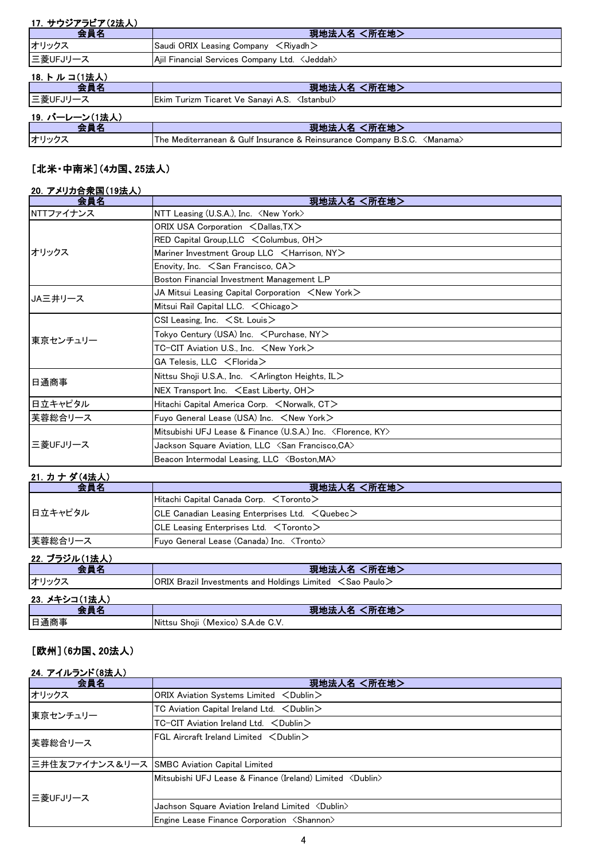| 17. サウジアラビア(2法人) |                                                                           |
|------------------|---------------------------------------------------------------------------|
| 会員名              | 現地法人名 <所在地>                                                               |
| オリックス            | Saudi ORIX Leasing Company $\leq$ Riyadh $>$                              |
| 三菱UFJリース         | Ajil Financial Services Company Ltd. < Jeddah>                            |
| 18. トルコ(1法人)     |                                                                           |
| 会員名              | 現地法人名 <所在地>                                                               |
| 三菱UFJリース         | Ekim Turizm Ticaret Ve Sanayi A.S. <istanbul></istanbul>                  |
| 19. バーレーン(1法人)   |                                                                           |
| 会員名              | 現地法人名 <所在地>                                                               |
| オリックス            | The Mediterranean & Gulf Insurance & Reinsurance Company B.S.C. < Manama> |

# [北米・中南米](4カ国、25法人)

### 20.アメリカ合衆国(19法人)

| 会員名            | 現地法人名 <所在地>                                                                |
|----------------|----------------------------------------------------------------------------|
| NTTファイナンス      | NTT Leasing (U.S.A.), Inc. <new york=""></new>                             |
|                | ORIX USA Corporation <dallas, tx=""></dallas,>                             |
|                | RED Capital Group, LLC < Columbus, OH>                                     |
| オリックス          | Mariner Investment Group LLC <harrison, ny=""></harrison,>                 |
|                | Enovity, Inc. $\leq$ San Francisco, CA $>$                                 |
|                | Boston Financial Investment Management L.P                                 |
| <b>JA三井リース</b> | JA Mitsui Leasing Capital Corporation $\,$ $\,<$ New York $\,>$            |
|                | Mitsui Rail Capital LLC. $\lt$ Chicago $>$                                 |
|                | CSI Leasing, Inc. $\leq$ St. Louis $\geq$                                  |
| 東京センチュリー       | Tokyo Century (USA) Inc. <purchase, ny=""></purchase,>                     |
|                | TC-CIT Aviation U.S., Inc. ∠New York>                                      |
|                | $GA$ Telesis, LLC $\leq$ Florida $>$                                       |
| 日通商事           | Nittsu Shoji U.S.A., Inc. < Arlington Heights, IL>                         |
|                | NEX Transport Inc. $\leq$ East Liberty, OH $>$                             |
| 日立キャピタル        | Hitachi Capital America Corp. <norwalk, ct=""></norwalk,>                  |
| 芙蓉総合リース        | Fuyo General Lease (USA) Inc. <new york=""></new>                          |
| 三菱UFJリース       | Mitsubishi UFJ Lease & Finance (U.S.A.) Inc. <florence, ky=""></florence,> |
|                | Jackson Square Aviation, LLC <san ca="" francisco,=""></san>               |
|                | Beacon Intermodal Leasing, LLC <boston, ma=""></boston,>                   |

# 21.カ ナ ダ(4法人)

| <u> 41. // / / (7/4/\/</u><br>会員名 | 現地法人名 <所在地>                                                          |
|-----------------------------------|----------------------------------------------------------------------|
| 日立キャピタル                           | Hitachi Capital Canada Corp. <toronto></toronto>                     |
|                                   | CLE Canadian Leasing Enterprises Ltd. $\leq$ Quebec $\geq$           |
|                                   | CLE Leasing Enterprises Ltd. <toronto></toronto>                     |
| 芙蓉総合リース                           | Fuyo General Lease (Canada) Inc. <tronto></tronto>                   |
| 22. ブラジル(1法人)                     |                                                                      |
| 会員名                               | 現地法人名 <所在地>                                                          |
| オリックス                             | ORIX Brazil Investments and Holdings Limited $\leq$ Sao Paulo $\geq$ |
| 23. メキシコ(1法人)                     |                                                                      |
| 会員名                               | 現地法人名 <所在地>                                                          |
| 日通商事                              | Nittsu Shoji (Mexico) S.A.de C.V.                                    |

## [欧州](6カ国、20法人)

#### 24.アイルランド(8法人)

| 会員名      | 現地法人名 <所在地>                                                        |
|----------|--------------------------------------------------------------------|
| オリックス    | ORIX Aviation Systems Limited <dublin></dublin>                    |
| 東京センチュリー | TC Aviation Capital Ireland Ltd. < Dublin>                         |
|          | TC-CIT Aviation Ireland Ltd. $\lt$ Dublin $>$                      |
| 芙蓉総合リース  | $FGL$ Aircraft Ireland Limited $\langle$ Dublin $\rangle$          |
|          | 三井住友ファイナンス&リース SMBC Aviation Capital Limited                       |
| 三菱UFJリース | Mitsubishi UFJ Lease & Finance (Ireland) Limited <dublin></dublin> |
|          | Jachson Square Aviation Ireland Limited <dublin></dublin>          |
|          | Engine Lease Finance Corporation <shannon></shannon>               |